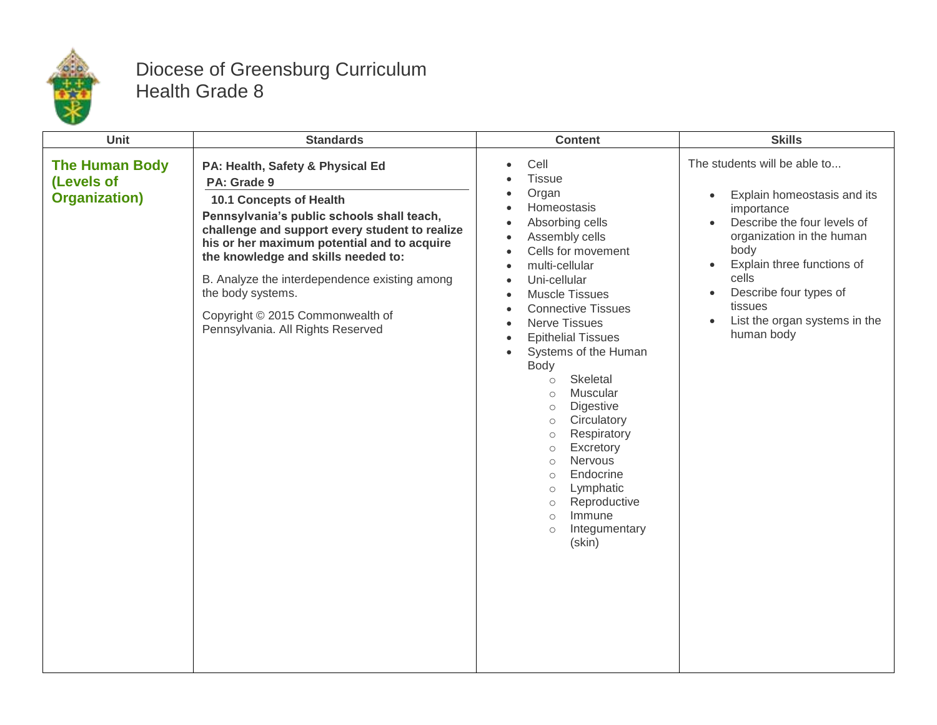

## Diocese of Greensburg Curriculum Health Grade 8

| <b>Unit</b>                                                  | <b>Standards</b>                                                                                                                                                                                                                                                                                                                                                                                                | <b>Content</b>                                                                                                                                                                                                                                                                                                                                                                                                                                                                                                                                                                                                                                                                                                                                                              | <b>Skills</b>                                                                                                                                                                                                                                                                                                                |
|--------------------------------------------------------------|-----------------------------------------------------------------------------------------------------------------------------------------------------------------------------------------------------------------------------------------------------------------------------------------------------------------------------------------------------------------------------------------------------------------|-----------------------------------------------------------------------------------------------------------------------------------------------------------------------------------------------------------------------------------------------------------------------------------------------------------------------------------------------------------------------------------------------------------------------------------------------------------------------------------------------------------------------------------------------------------------------------------------------------------------------------------------------------------------------------------------------------------------------------------------------------------------------------|------------------------------------------------------------------------------------------------------------------------------------------------------------------------------------------------------------------------------------------------------------------------------------------------------------------------------|
| <b>The Human Body</b><br>(Levels of<br><b>Organization</b> ) | PA: Health, Safety & Physical Ed<br>PA: Grade 9<br>10.1 Concepts of Health<br>Pennsylvania's public schools shall teach,<br>challenge and support every student to realize<br>his or her maximum potential and to acquire<br>the knowledge and skills needed to:<br>B. Analyze the interdependence existing among<br>the body systems.<br>Copyright © 2015 Commonwealth of<br>Pennsylvania. All Rights Reserved | Cell<br>$\bullet$<br><b>Tissue</b><br>Organ<br>Homeostasis<br>$\bullet$<br>Absorbing cells<br>$\bullet$<br>Assembly cells<br>$\bullet$<br>Cells for movement<br>$\bullet$<br>multi-cellular<br>$\bullet$<br>Uni-cellular<br>$\bullet$<br><b>Muscle Tissues</b><br>$\bullet$<br><b>Connective Tissues</b><br>$\bullet$<br><b>Nerve Tissues</b><br>$\bullet$<br><b>Epithelial Tissues</b><br>$\bullet$<br>Systems of the Human<br>$\bullet$<br>Body<br>Skeletal<br>$\circ$<br>Muscular<br>$\circ$<br>Digestive<br>$\circlearrowright$<br>Circulatory<br>$\circ$<br>Respiratory<br>$\circ$<br>Excretory<br>$\circ$<br>Nervous<br>$\circ$<br>Endocrine<br>$\circ$<br>Lymphatic<br>$\circ$<br>Reproductive<br>$\circ$<br>Immune<br>$\circ$<br>Integumentary<br>$\circ$<br>(skin) | The students will be able to<br>Explain homeostasis and its<br>$\bullet$<br>importance<br>Describe the four levels of<br>organization in the human<br>body<br>Explain three functions of<br>$\bullet$<br>cells<br>Describe four types of<br>$\bullet$<br>tissues<br>List the organ systems in the<br>$\bullet$<br>human body |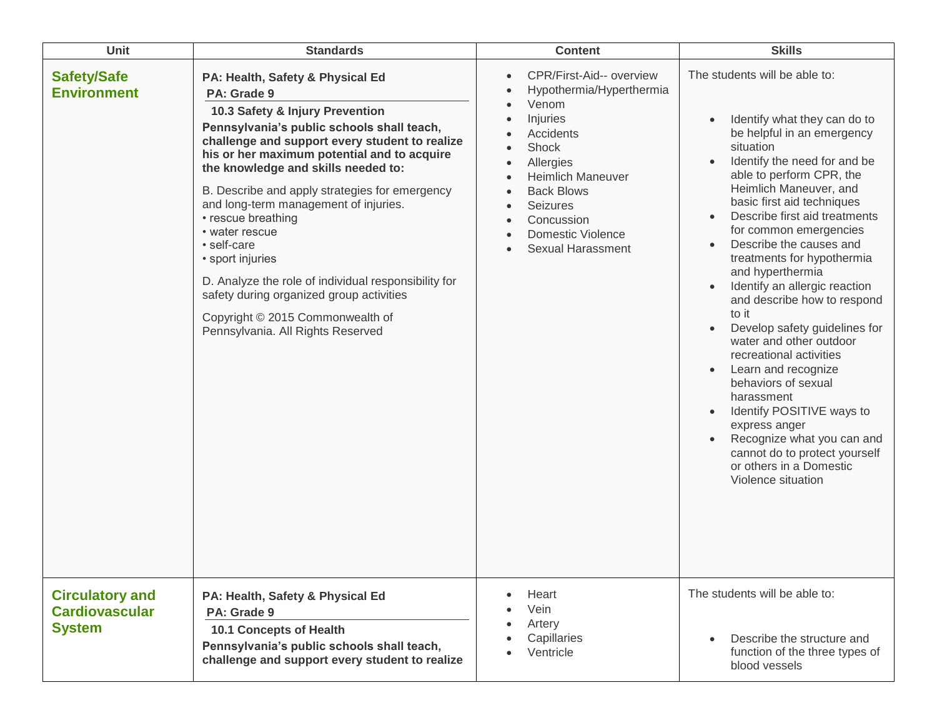| Unit                                                             | <b>Standards</b>                                                                                                                                                                                                                                                                                                                                                                                                                                                                                                                                                                                                            | <b>Content</b>                                                                                                                                                                                                                                                                                                                                                       | <b>Skills</b>                                                                                                                                                                                                                                                                                                                                                                                                                                                                                                                                                                                                                                                                                                                                                  |
|------------------------------------------------------------------|-----------------------------------------------------------------------------------------------------------------------------------------------------------------------------------------------------------------------------------------------------------------------------------------------------------------------------------------------------------------------------------------------------------------------------------------------------------------------------------------------------------------------------------------------------------------------------------------------------------------------------|----------------------------------------------------------------------------------------------------------------------------------------------------------------------------------------------------------------------------------------------------------------------------------------------------------------------------------------------------------------------|----------------------------------------------------------------------------------------------------------------------------------------------------------------------------------------------------------------------------------------------------------------------------------------------------------------------------------------------------------------------------------------------------------------------------------------------------------------------------------------------------------------------------------------------------------------------------------------------------------------------------------------------------------------------------------------------------------------------------------------------------------------|
| <b>Safety/Safe</b><br><b>Environment</b>                         | PA: Health, Safety & Physical Ed<br>PA: Grade 9<br>10.3 Safety & Injury Prevention<br>Pennsylvania's public schools shall teach,<br>challenge and support every student to realize<br>his or her maximum potential and to acquire<br>the knowledge and skills needed to:<br>B. Describe and apply strategies for emergency<br>and long-term management of injuries.<br>• rescue breathing<br>• water rescue<br>• self-care<br>• sport injuries<br>D. Analyze the role of individual responsibility for<br>safety during organized group activities<br>Copyright © 2015 Commonwealth of<br>Pennsylvania. All Rights Reserved | CPR/First-Aid-- overview<br>$\bullet$<br>Hypothermia/Hyperthermia<br>Venom<br>$\bullet$<br>Injuries<br>$\bullet$<br>Accidents<br>Shock<br>$\bullet$<br>Allergies<br>$\bullet$<br><b>Heimlich Maneuver</b><br>$\bullet$<br><b>Back Blows</b><br>$\bullet$<br>Seizures<br>$\bullet$<br>Concussion<br>$\bullet$<br><b>Domestic Violence</b><br><b>Sexual Harassment</b> | The students will be able to:<br>Identify what they can do to<br>be helpful in an emergency<br>situation<br>Identify the need for and be<br>able to perform CPR, the<br>Heimlich Maneuver, and<br>basic first aid techniques<br>Describe first aid treatments<br>for common emergencies<br>Describe the causes and<br>treatments for hypothermia<br>and hyperthermia<br>Identify an allergic reaction<br>and describe how to respond<br>to it<br>Develop safety guidelines for<br>water and other outdoor<br>recreational activities<br>Learn and recognize<br>behaviors of sexual<br>harassment<br>Identify POSITIVE ways to<br>express anger<br>Recognize what you can and<br>cannot do to protect yourself<br>or others in a Domestic<br>Violence situation |
| <b>Circulatory and</b><br><b>Cardiovascular</b><br><b>System</b> | PA: Health, Safety & Physical Ed<br>PA: Grade 9<br>10.1 Concepts of Health<br>Pennsylvania's public schools shall teach,<br>challenge and support every student to realize                                                                                                                                                                                                                                                                                                                                                                                                                                                  | Heart<br>Vein<br>Artery<br>Capillaries<br>Ventricle                                                                                                                                                                                                                                                                                                                  | The students will be able to:<br>Describe the structure and<br>function of the three types of<br>blood vessels                                                                                                                                                                                                                                                                                                                                                                                                                                                                                                                                                                                                                                                 |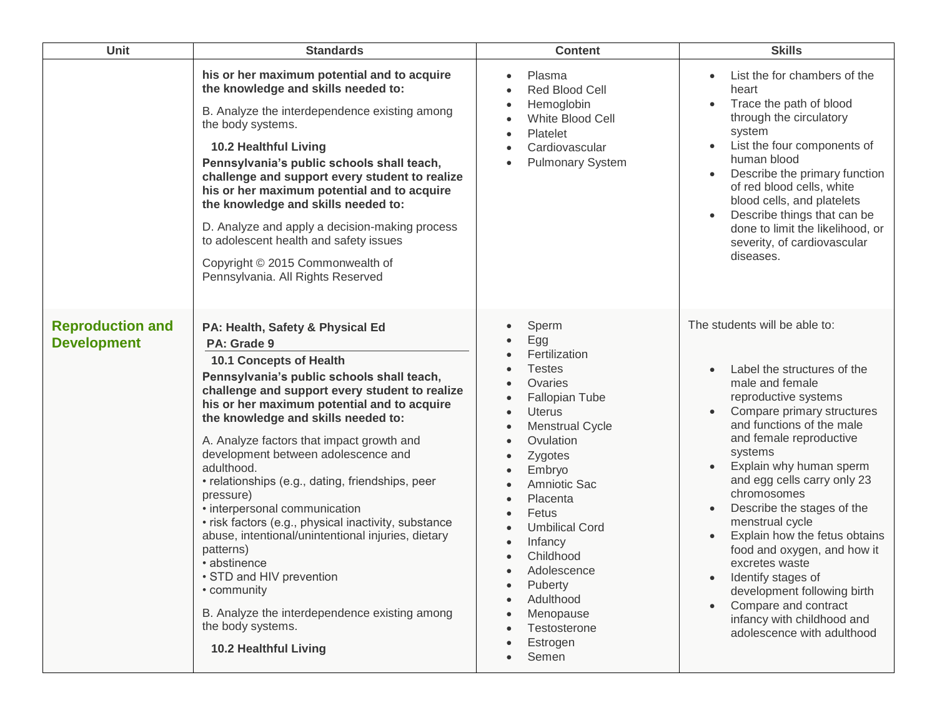| <b>Unit</b>                                   | <b>Standards</b>                                                                                                                                                                                                                                                                                                                                                                                                                                                                                                                                                                                                                                                                                                                                                 | <b>Content</b>                                                                                                                                                                                                                                                                                                                                                                                                                                                      | <b>Skills</b>                                                                                                                                                                                                                                                                                                                                                                                                                                                                                                                                                 |
|-----------------------------------------------|------------------------------------------------------------------------------------------------------------------------------------------------------------------------------------------------------------------------------------------------------------------------------------------------------------------------------------------------------------------------------------------------------------------------------------------------------------------------------------------------------------------------------------------------------------------------------------------------------------------------------------------------------------------------------------------------------------------------------------------------------------------|---------------------------------------------------------------------------------------------------------------------------------------------------------------------------------------------------------------------------------------------------------------------------------------------------------------------------------------------------------------------------------------------------------------------------------------------------------------------|---------------------------------------------------------------------------------------------------------------------------------------------------------------------------------------------------------------------------------------------------------------------------------------------------------------------------------------------------------------------------------------------------------------------------------------------------------------------------------------------------------------------------------------------------------------|
|                                               | his or her maximum potential and to acquire<br>the knowledge and skills needed to:<br>B. Analyze the interdependence existing among<br>the body systems.<br><b>10.2 Healthful Living</b><br>Pennsylvania's public schools shall teach,<br>challenge and support every student to realize<br>his or her maximum potential and to acquire<br>the knowledge and skills needed to:<br>D. Analyze and apply a decision-making process<br>to adolescent health and safety issues<br>Copyright © 2015 Commonwealth of<br>Pennsylvania. All Rights Reserved                                                                                                                                                                                                              | Plasma<br>$\bullet$<br>Red Blood Cell<br>Hemoglobin<br>White Blood Cell<br>Platelet<br>Cardiovascular<br><b>Pulmonary System</b>                                                                                                                                                                                                                                                                                                                                    | List the for chambers of the<br>heart<br>Trace the path of blood<br>through the circulatory<br>system<br>List the four components of<br>human blood<br>Describe the primary function<br>of red blood cells, white<br>blood cells, and platelets<br>Describe things that can be<br>done to limit the likelihood, or<br>severity, of cardiovascular<br>diseases.                                                                                                                                                                                                |
| <b>Reproduction and</b><br><b>Development</b> | PA: Health, Safety & Physical Ed<br>PA: Grade 9<br>10.1 Concepts of Health<br>Pennsylvania's public schools shall teach,<br>challenge and support every student to realize<br>his or her maximum potential and to acquire<br>the knowledge and skills needed to:<br>A. Analyze factors that impact growth and<br>development between adolescence and<br>adulthood.<br>• relationships (e.g., dating, friendships, peer<br>pressure)<br>• interpersonal communication<br>· risk factors (e.g., physical inactivity, substance<br>abuse, intentional/unintentional injuries, dietary<br>patterns)<br>• abstinence<br>• STD and HIV prevention<br>• community<br>B. Analyze the interdependence existing among<br>the body systems.<br><b>10.2 Healthful Living</b> | Sperm<br>Egg<br>Fertilization<br><b>Testes</b><br>Ovaries<br>$\bullet$<br><b>Fallopian Tube</b><br><b>Uterus</b><br>$\bullet$<br><b>Menstrual Cycle</b><br>Ovulation<br>$\bullet$<br>Zygotes<br>$\bullet$<br>Embryo<br>$\bullet$<br>Amniotic Sac<br>$\bullet$<br>Placenta<br>$\bullet$<br>Fetus<br>$\bullet$<br><b>Umbilical Cord</b><br>Infancy<br>Childhood<br>Adolescence<br>Puberty<br>$\bullet$<br>Adulthood<br>Menopause<br>Testosterone<br>Estrogen<br>Semen | The students will be able to:<br>Label the structures of the<br>male and female<br>reproductive systems<br>Compare primary structures<br>and functions of the male<br>and female reproductive<br>systems<br>Explain why human sperm<br>and egg cells carry only 23<br>chromosomes<br>Describe the stages of the<br>menstrual cycle<br>Explain how the fetus obtains<br>food and oxygen, and how it<br>excretes waste<br>Identify stages of<br>development following birth<br>Compare and contract<br>infancy with childhood and<br>adolescence with adulthood |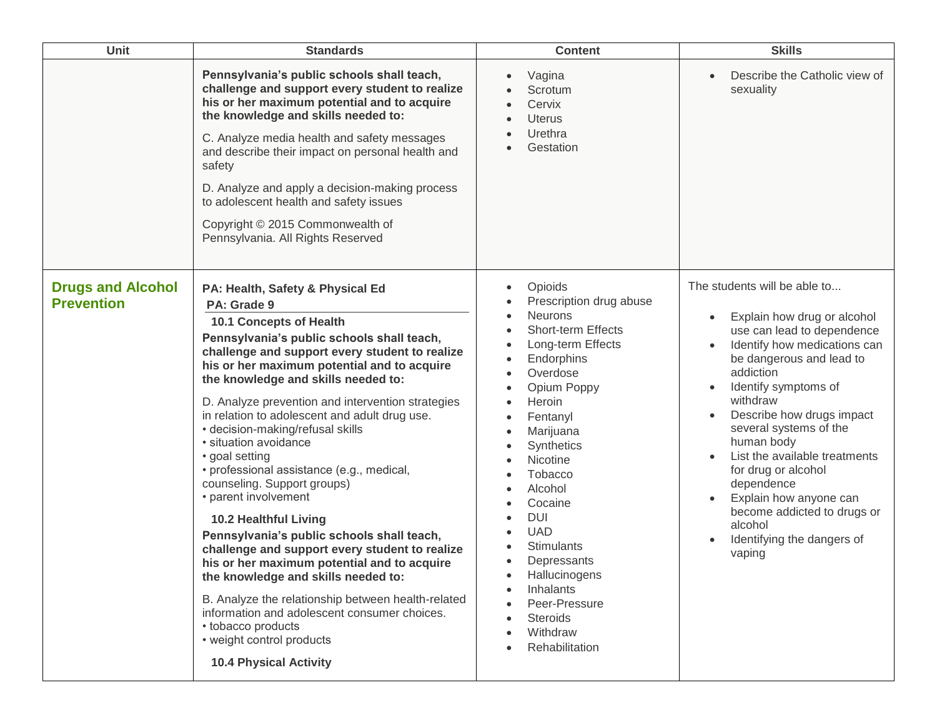| Unit                                          | <b>Standards</b>                                                                                                                                                                                                                                                                                                                                                                                                                                                                                                                                                                                                                                                                                                                                                                                                                                                                                                                                                          | <b>Content</b>                                                                                                                                                                                                                                                                                                                                                                                                                                                                 | <b>Skills</b>                                                                                                                                                                                                                                                                                                                                                                                                                                                 |
|-----------------------------------------------|---------------------------------------------------------------------------------------------------------------------------------------------------------------------------------------------------------------------------------------------------------------------------------------------------------------------------------------------------------------------------------------------------------------------------------------------------------------------------------------------------------------------------------------------------------------------------------------------------------------------------------------------------------------------------------------------------------------------------------------------------------------------------------------------------------------------------------------------------------------------------------------------------------------------------------------------------------------------------|--------------------------------------------------------------------------------------------------------------------------------------------------------------------------------------------------------------------------------------------------------------------------------------------------------------------------------------------------------------------------------------------------------------------------------------------------------------------------------|---------------------------------------------------------------------------------------------------------------------------------------------------------------------------------------------------------------------------------------------------------------------------------------------------------------------------------------------------------------------------------------------------------------------------------------------------------------|
|                                               | Pennsylvania's public schools shall teach,<br>challenge and support every student to realize<br>his or her maximum potential and to acquire<br>the knowledge and skills needed to:<br>C. Analyze media health and safety messages<br>and describe their impact on personal health and<br>safety<br>D. Analyze and apply a decision-making process<br>to adolescent health and safety issues<br>Copyright © 2015 Commonwealth of<br>Pennsylvania. All Rights Reserved                                                                                                                                                                                                                                                                                                                                                                                                                                                                                                      | Vagina<br>Scrotum<br>Cervix<br><b>Uterus</b><br>Urethra<br>Gestation                                                                                                                                                                                                                                                                                                                                                                                                           | Describe the Catholic view of<br>sexuality                                                                                                                                                                                                                                                                                                                                                                                                                    |
| <b>Drugs and Alcohol</b><br><b>Prevention</b> | PA: Health, Safety & Physical Ed<br>PA: Grade 9<br>10.1 Concepts of Health<br>Pennsylvania's public schools shall teach,<br>challenge and support every student to realize<br>his or her maximum potential and to acquire<br>the knowledge and skills needed to:<br>D. Analyze prevention and intervention strategies<br>in relation to adolescent and adult drug use.<br>· decision-making/refusal skills<br>· situation avoidance<br>• goal setting<br>· professional assistance (e.g., medical,<br>counseling. Support groups)<br>• parent involvement<br><b>10.2 Healthful Living</b><br>Pennsylvania's public schools shall teach,<br>challenge and support every student to realize<br>his or her maximum potential and to acquire<br>the knowledge and skills needed to:<br>B. Analyze the relationship between health-related<br>information and adolescent consumer choices.<br>• tobacco products<br>• weight control products<br><b>10.4 Physical Activity</b> | Opioids<br>$\bullet$<br>Prescription drug abuse<br><b>Neurons</b><br>$\bullet$<br><b>Short-term Effects</b><br>Long-term Effects<br>Endorphins<br>$\bullet$<br>Overdose<br>Opium Poppy<br>Heroin<br>$\bullet$<br>Fentanyl<br>Marijuana<br>Synthetics<br>Nicotine<br>Tobacco<br>Alcohol<br>Cocaine<br><b>DUI</b><br><b>UAD</b><br><b>Stimulants</b><br>Depressants<br>Hallucinogens<br>Inhalants<br>Peer-Pressure<br><b>Steroids</b><br>Withdraw<br>Rehabilitation<br>$\bullet$ | The students will be able to<br>Explain how drug or alcohol<br>use can lead to dependence<br>Identify how medications can<br>be dangerous and lead to<br>addiction<br>Identify symptoms of<br>withdraw<br>Describe how drugs impact<br>several systems of the<br>human body<br>List the available treatments<br>for drug or alcohol<br>dependence<br>Explain how anyone can<br>become addicted to drugs or<br>alcohol<br>Identifying the dangers of<br>vaping |